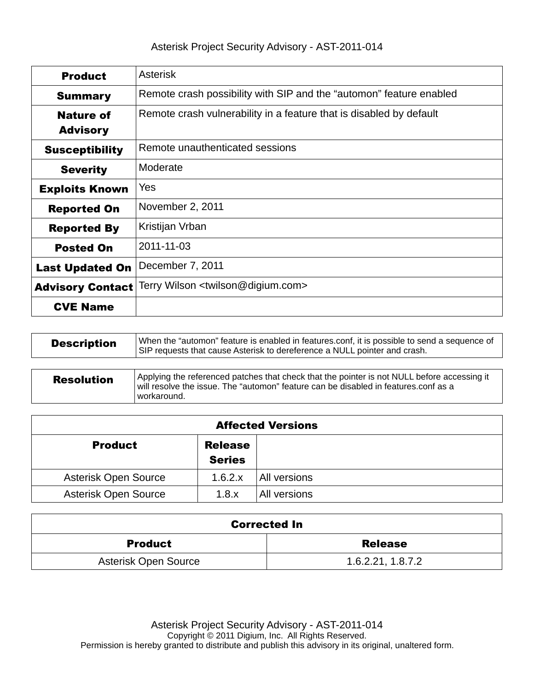| <b>Product</b>          | <b>Asterisk</b>                                                     |  |  |
|-------------------------|---------------------------------------------------------------------|--|--|
| <b>Summary</b>          | Remote crash possibility with SIP and the "automon" feature enabled |  |  |
| <b>Nature of</b>        | Remote crash vulnerability in a feature that is disabled by default |  |  |
| <b>Advisory</b>         |                                                                     |  |  |
| <b>Susceptibility</b>   | Remote unauthenticated sessions                                     |  |  |
| <b>Severity</b>         | Moderate                                                            |  |  |
| <b>Exploits Known</b>   | Yes                                                                 |  |  |
| <b>Reported On</b>      | November 2, 2011                                                    |  |  |
| <b>Reported By</b>      | Kristijan Vrban                                                     |  |  |
| <b>Posted On</b>        | 2011-11-03                                                          |  |  |
| <b>Last Updated On</b>  | December 7, 2011                                                    |  |  |
| <b>Advisory Contact</b> | Terry Wilson <twilson@digium.com></twilson@digium.com>              |  |  |
| <b>CVE Name</b>         |                                                                     |  |  |

| <b>Description</b> | When the "automon" feature is enabled in features.conf, it is possible to send a sequence of<br>SIP requests that cause Asterisk to dereference a NULL pointer and crash.                         |  |
|--------------------|---------------------------------------------------------------------------------------------------------------------------------------------------------------------------------------------------|--|
|                    |                                                                                                                                                                                                   |  |
| <b>Resolution</b>  | Applying the referenced patches that check that the pointer is not NULL before accessing it<br>will resolve the issue. The "automon" feature can be disabled in features.conf as a<br>workaround. |  |

| <b>Affected Versions</b>        |                                 |              |  |  |
|---------------------------------|---------------------------------|--------------|--|--|
| <b>Product</b>                  | <b>Release</b><br><b>Series</b> |              |  |  |
| Asterisk Open Source<br>1.6.2.x |                                 | All versions |  |  |
| Asterisk Open Source            | 1.8.x                           | All versions |  |  |

| <b>Corrected In</b>  |                   |  |
|----------------------|-------------------|--|
| <b>Product</b>       | <b>Release</b>    |  |
| Asterisk Open Source | 1.6.2.21, 1.8.7.2 |  |